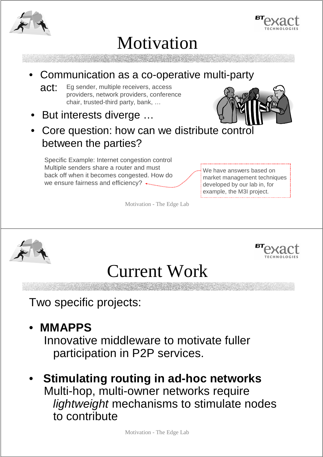



## Motivation

- Communication as a co-operative multi-party
	- act: Eg sender, multiple receivers, access providers, network providers, conference chair, trusted-third party, bank, …
- But interests diverge …
- Core question: how can we distribute control between the parties?

Specific Example: Internet congestion control Multiple senders share a router and must back off when it becomes congested. How do we ensure fairness and efficiency?  $\longleftrightarrow$ 

We have answers based on market management techniques developed by our lab in, for example, the M3I project.

Motivation - The Edge Lab





# Current Work

Two specific projects:

### • **MMAPPS**

Innovative middleware to motivate fuller participation in P2P services.

### • **Stimulating routing in ad-hoc networks**

Multi-hop, multi-owner networks require lightweight mechanisms to stimulate nodes to contribute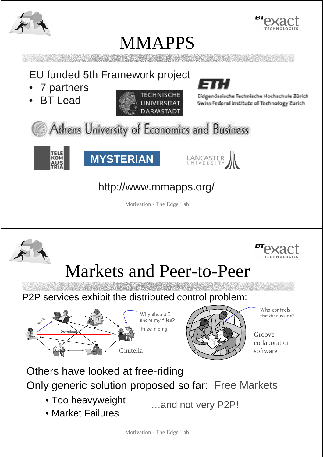





EU funded 5th Framework project

- 7 partners
- **BT** Lead



Eidgenössische Technische Hochschule Zürich Swiss Federal Institute of Technology Zurich

Athens University of Economics and Business







#### http://www.mmapps.org/

Motivation - The Edge Lab

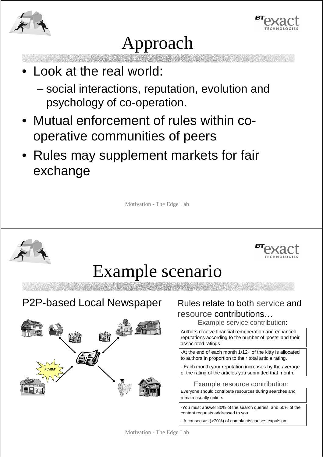



# Approach

- Look at the real world:
	- social interactions, reputation, evolution and psychology of co-operation.
- Mutual enforcement of rules within cooperative communities of peers
- Rules may supplement markets for fair exchange

Motivation - The Edge Lab



A consensus (>70%) of complaints causes expulsion.